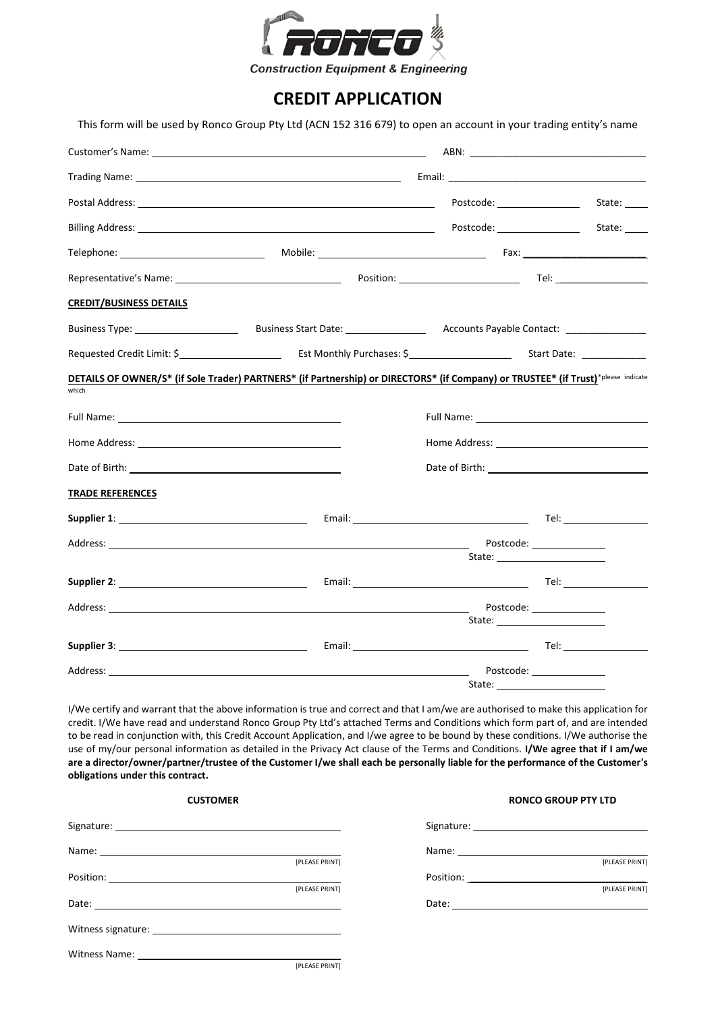

## **CREDIT APPLICATION**

This form will be used by Ronco Group Pty Ltd (ACN 152 316 679) to open an account in your trading entity's name

|                                                                                                                                                                                                                                |                                                                                                                                   | Postcode: ___________________ | State:                     |
|--------------------------------------------------------------------------------------------------------------------------------------------------------------------------------------------------------------------------------|-----------------------------------------------------------------------------------------------------------------------------------|-------------------------------|----------------------------|
|                                                                                                                                                                                                                                |                                                                                                                                   | Postcode: National Postcode:  | State:                     |
| Telephone: ___________________________________                                                                                                                                                                                 |                                                                                                                                   |                               |                            |
|                                                                                                                                                                                                                                |                                                                                                                                   |                               |                            |
| <b>CREDIT/BUSINESS DETAILS</b>                                                                                                                                                                                                 |                                                                                                                                   |                               |                            |
|                                                                                                                                                                                                                                |                                                                                                                                   |                               |                            |
|                                                                                                                                                                                                                                |                                                                                                                                   |                               |                            |
| which                                                                                                                                                                                                                          | DETAILS OF OWNER/S* (if Sole Trader) PARTNERS* (if Partnership) or DIRECTORS* (if Company) or TRUSTEE* (if Trust)*please indicate |                               |                            |
| Full Name: Name and Second Contract of the Contract of the Contract of the Contract of the Contract of the Contract of the Contract of the Contract of the Contract of the Contract of the Contract of the Contract of the Con |                                                                                                                                   |                               |                            |
|                                                                                                                                                                                                                                |                                                                                                                                   |                               |                            |
|                                                                                                                                                                                                                                |                                                                                                                                   |                               |                            |
| <b>TRADE REFERENCES</b>                                                                                                                                                                                                        |                                                                                                                                   |                               |                            |
|                                                                                                                                                                                                                                |                                                                                                                                   |                               |                            |
|                                                                                                                                                                                                                                |                                                                                                                                   |                               | Postcode: _______________  |
|                                                                                                                                                                                                                                |                                                                                                                                   |                               |                            |
|                                                                                                                                                                                                                                |                                                                                                                                   |                               | Postcode: _______________  |
|                                                                                                                                                                                                                                |                                                                                                                                   |                               |                            |
|                                                                                                                                                                                                                                |                                                                                                                                   | State:                        | Postcode: ________________ |

I/We certify and warrant that the above information is true and correct and that I am/we are authorised to make this application for credit. I/We have read and understand Ronco Group Pty Ltd's attached Terms and Conditions which form part of, and are intended to be read in conjunction with, this Credit Account Application, and I/we agree to be bound by these conditions. I/We authorise the use of my/our personal information as detailed in the Privacy Act clause of the Terms and Conditions. **I/We agree that if I am/we are a director/owner/partner/trustee of the Customer I/we shall each be personally liable for the performance of the Customer's obligations under this contract.**

| <b>CUSTOMER</b> |                | <b>RONCO GROUP PTY LTD</b> |                |  |
|-----------------|----------------|----------------------------|----------------|--|
|                 |                |                            |                |  |
|                 |                |                            |                |  |
|                 | [PLEASE PRINT] |                            | [PLEASE PRINT] |  |
|                 |                |                            |                |  |
|                 | [PLEASE PRINT] |                            | [PLEASE PRINT] |  |
|                 |                |                            |                |  |
|                 |                |                            |                |  |
|                 |                |                            |                |  |
|                 | [PLEASE PRINT] |                            |                |  |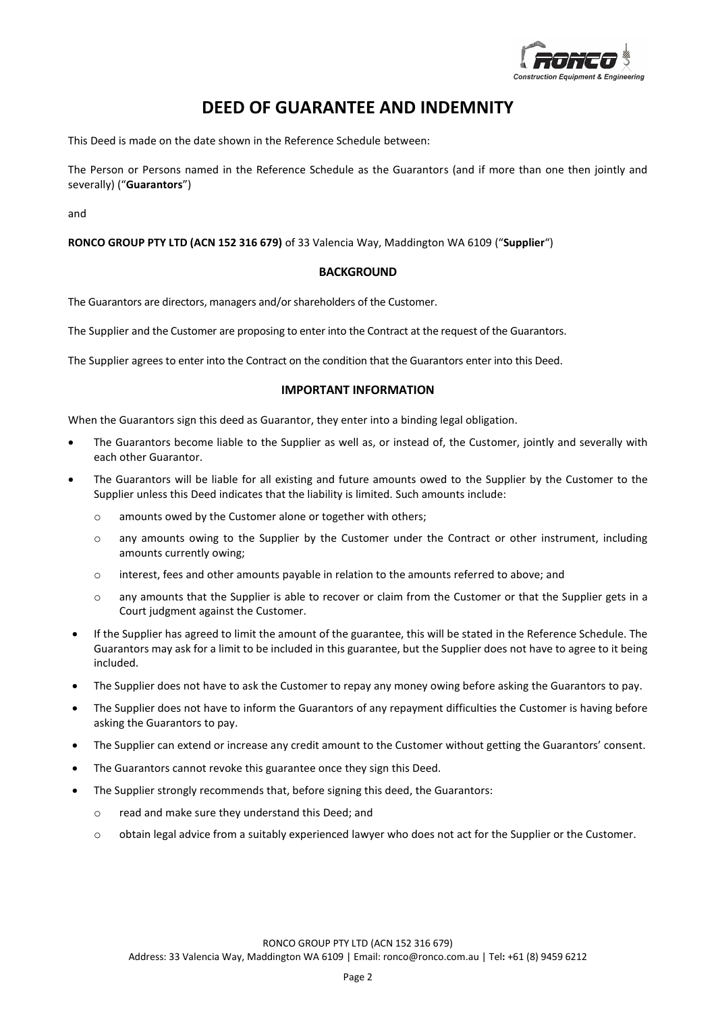

## **DEED OF GUARANTEE AND INDEMNITY**

This Deed is made on the date shown in the Reference Schedule between:

The Person or Persons named in the Reference Schedule as the Guarantors (and if more than one then jointly and severally) ("**Guarantors**")

and

**RONCO GROUP PTY LTD (ACN 152 316 679)** of 33 Valencia Way, Maddington WA 6109 ("**Supplier**")

### **BACKGROUND**

The Guarantors are directors, managers and/or shareholders of the Customer.

The Supplier and the Customer are proposing to enter into the Contract at the request of the Guarantors.

The Supplier agrees to enter into the Contract on the condition that the Guarantors enter into this Deed.

### **IMPORTANT INFORMATION**

When the Guarantors sign this deed as Guarantor, they enter into a binding legal obligation.

- The Guarantors become liable to the Supplier as well as, or instead of, the Customer, jointly and severally with each other Guarantor.
- The Guarantors will be liable for all existing and future amounts owed to the Supplier by the Customer to the Supplier unless this Deed indicates that the liability is limited. Such amounts include:
	- o amounts owed by the Customer alone or together with others;
	- o any amounts owing to the Supplier by the Customer under the Contract or other instrument, including amounts currently owing;
	- o interest, fees and other amounts payable in relation to the amounts referred to above; and
	- o any amounts that the Supplier is able to recover or claim from the Customer or that the Supplier gets in a Court judgment against the Customer.
- If the Supplier has agreed to limit the amount of the guarantee, this will be stated in the Reference Schedule. The Guarantors may ask for a limit to be included in this guarantee, but the Supplier does not have to agree to it being included.
- The Supplier does not have to ask the Customer to repay any money owing before asking the Guarantors to pay.
- The Supplier does not have to inform the Guarantors of any repayment difficulties the Customer is having before asking the Guarantors to pay.
- The Supplier can extend or increase any credit amount to the Customer without getting the Guarantors' consent.
- The Guarantors cannot revoke this guarantee once they sign this Deed.
- The Supplier strongly recommends that, before signing this deed, the Guarantors:
	- o read and make sure they understand this Deed; and
	- o obtain legal advice from a suitably experienced lawyer who does not act for the Supplier or the Customer.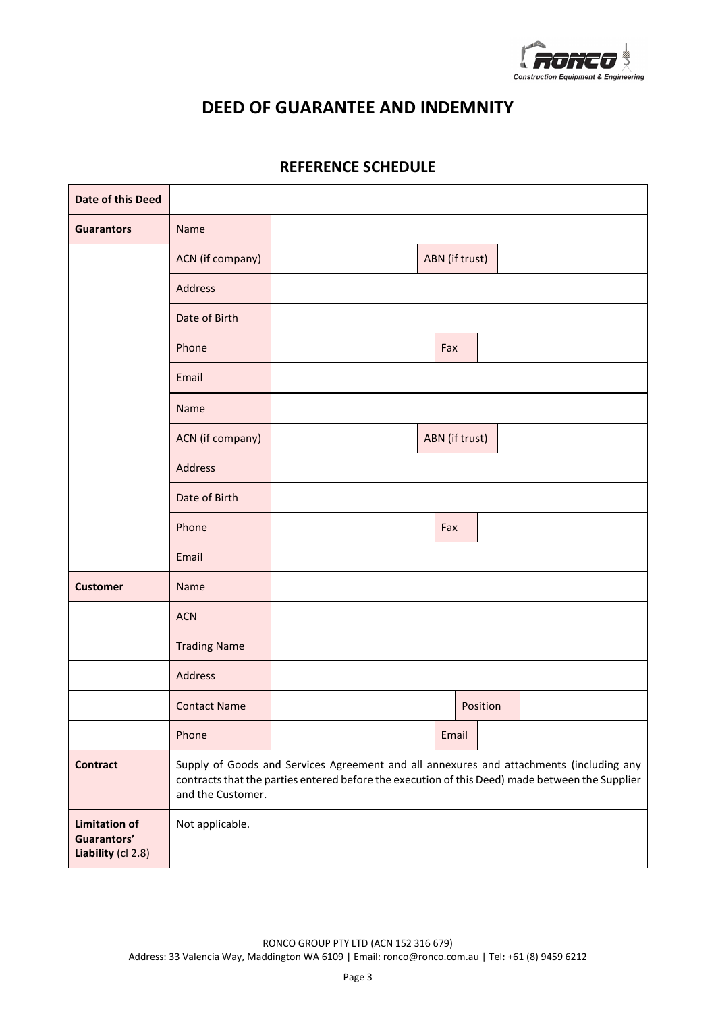

## **DEED OF GUARANTEE AND INDEMNITY**

| <b>Date of this Deed</b>                                  |                                                                                                                                                                                                                 |  |                |          |  |
|-----------------------------------------------------------|-----------------------------------------------------------------------------------------------------------------------------------------------------------------------------------------------------------------|--|----------------|----------|--|
| <b>Guarantors</b>                                         | Name                                                                                                                                                                                                            |  |                |          |  |
|                                                           | ACN (if company)                                                                                                                                                                                                |  | ABN (if trust) |          |  |
|                                                           | Address                                                                                                                                                                                                         |  |                |          |  |
|                                                           | Date of Birth                                                                                                                                                                                                   |  |                |          |  |
|                                                           | Phone                                                                                                                                                                                                           |  | Fax            |          |  |
|                                                           | Email                                                                                                                                                                                                           |  |                |          |  |
|                                                           | Name                                                                                                                                                                                                            |  |                |          |  |
|                                                           | ACN (if company)                                                                                                                                                                                                |  | ABN (if trust) |          |  |
|                                                           | Address                                                                                                                                                                                                         |  |                |          |  |
|                                                           | Date of Birth                                                                                                                                                                                                   |  |                |          |  |
|                                                           | Phone                                                                                                                                                                                                           |  | Fax            |          |  |
|                                                           | Email                                                                                                                                                                                                           |  |                |          |  |
| <b>Customer</b>                                           | Name                                                                                                                                                                                                            |  |                |          |  |
|                                                           | <b>ACN</b>                                                                                                                                                                                                      |  |                |          |  |
|                                                           | <b>Trading Name</b>                                                                                                                                                                                             |  |                |          |  |
|                                                           | Address                                                                                                                                                                                                         |  |                |          |  |
|                                                           | <b>Contact Name</b>                                                                                                                                                                                             |  |                | Position |  |
|                                                           | Phone                                                                                                                                                                                                           |  | Email          |          |  |
| <b>Contract</b>                                           | Supply of Goods and Services Agreement and all annexures and attachments (including any<br>contracts that the parties entered before the execution of this Deed) made between the Supplier<br>and the Customer. |  |                |          |  |
| <b>Limitation of</b><br>Guarantors'<br>Liability (cl 2.8) | Not applicable.                                                                                                                                                                                                 |  |                |          |  |

## **REFERENCE SCHEDULE**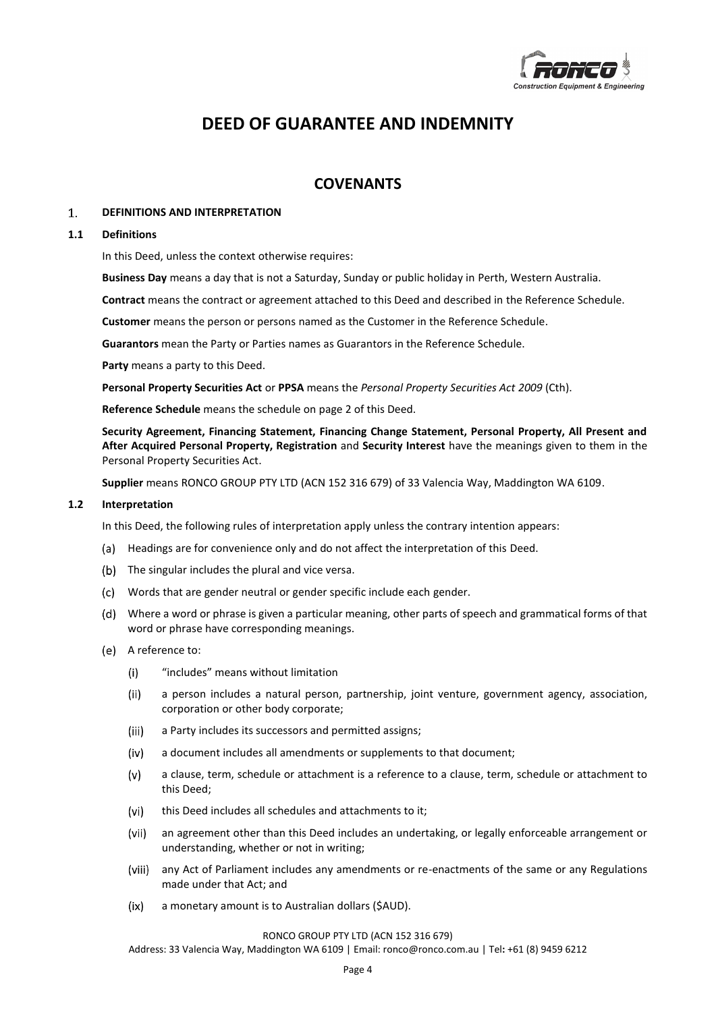

# **DEED OF GUARANTEE AND INDEMNITY**

## **COVENANTS**

#### $1.$ **DEFINITIONS AND INTERPRETATION**

#### **1.1 Definitions**

In this Deed, unless the context otherwise requires:

**Business Day** means a day that is not a Saturday, Sunday or public holiday in Perth, Western Australia.

**Contract** means the contract or agreement attached to this Deed and described in the Reference Schedule.

**Customer** means the person or persons named as the Customer in the Reference Schedule.

**Guarantors** mean the Party or Parties names as Guarantors in the Reference Schedule.

**Party** means a party to this Deed.

**Personal Property Securities Act** or **PPSA** means the *Personal Property Securities Act 2009* (Cth).

**Reference Schedule** means the schedule on page 2 of this Deed.

**Security Agreement, Financing Statement, Financing Change Statement, Personal Property, All Present and After Acquired Personal Property, Registration** and **Security Interest** have the meanings given to them in the Personal Property Securities Act.

**Supplier** means RONCO GROUP PTY LTD (ACN 152 316 679) of 33 Valencia Way, Maddington WA 6109.

#### **1.2 Interpretation**

In this Deed, the following rules of interpretation apply unless the contrary intention appears:

- (a) Headings are for convenience only and do not affect the interpretation of this Deed.
- (b) The singular includes the plural and vice versa.
- Words that are gender neutral or gender specific include each gender.
- Where a word or phrase is given a particular meaning, other parts of speech and grammatical forms of that word or phrase have corresponding meanings.
- A reference to:
	- $(i)$ "includes" means without limitation
	- $(ii)$ a person includes a natural person, partnership, joint venture, government agency, association, corporation or other body corporate;
	- $(iii)$ a Party includes its successors and permitted assigns;
	- $(iv)$ a document includes all amendments or supplements to that document;
	- a clause, term, schedule or attachment is a reference to a clause, term, schedule or attachment to  $(v)$ this Deed;
	- $(vi)$ this Deed includes all schedules and attachments to it;
	- $(vii)$ an agreement other than this Deed includes an undertaking, or legally enforceable arrangement or understanding, whether or not in writing;
	- (viii) any Act of Parliament includes any amendments or re-enactments of the same or any Regulations made under that Act; and
	- $(ix)$ a monetary amount is to Australian dollars (\$AUD).

#### RONCO GROUP PTY LTD (ACN 152 316 679)

Address: 33 Valencia Way, Maddington WA 6109 | Email: ronco@ronco.com.au | Tel**:** +61 (8) 9459 6212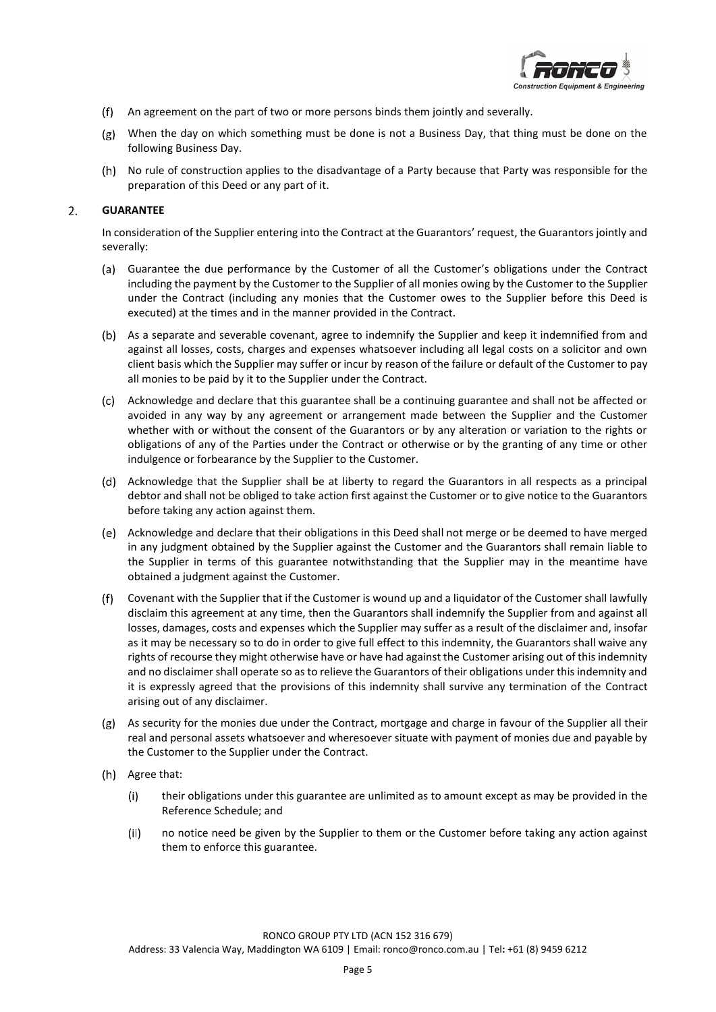

- An agreement on the part of two or more persons binds them jointly and severally.
- When the day on which something must be done is not a Business Day, that thing must be done on the following Business Day.
- (h) No rule of construction applies to the disadvantage of a Party because that Party was responsible for the preparation of this Deed or any part of it.

#### $2.$ **GUARANTEE**

In consideration of the Supplier entering into the Contract at the Guarantors' request, the Guarantors jointly and severally:

- Guarantee the due performance by the Customer of all the Customer's obligations under the Contract including the payment by the Customer to the Supplier of all monies owing by the Customer to the Supplier under the Contract (including any monies that the Customer owes to the Supplier before this Deed is executed) at the times and in the manner provided in the Contract.
- As a separate and severable covenant, agree to indemnify the Supplier and keep it indemnified from and against all losses, costs, charges and expenses whatsoever including all legal costs on a solicitor and own client basis which the Supplier may suffer or incur by reason of the failure or default of the Customer to pay all monies to be paid by it to the Supplier under the Contract.
- Acknowledge and declare that this guarantee shall be a continuing guarantee and shall not be affected or avoided in any way by any agreement or arrangement made between the Supplier and the Customer whether with or without the consent of the Guarantors or by any alteration or variation to the rights or obligations of any of the Parties under the Contract or otherwise or by the granting of any time or other indulgence or forbearance by the Supplier to the Customer.
- Acknowledge that the Supplier shall be at liberty to regard the Guarantors in all respects as a principal debtor and shall not be obliged to take action first against the Customer or to give notice to the Guarantors before taking any action against them.
- Acknowledge and declare that their obligations in this Deed shall not merge or be deemed to have merged in any judgment obtained by the Supplier against the Customer and the Guarantors shall remain liable to the Supplier in terms of this guarantee notwithstanding that the Supplier may in the meantime have obtained a judgment against the Customer.
- Covenant with the Supplier that if the Customer is wound up and a liquidator of the Customer shall lawfully disclaim this agreement at any time, then the Guarantors shall indemnify the Supplier from and against all losses, damages, costs and expenses which the Supplier may suffer as a result of the disclaimer and, insofar as it may be necessary so to do in order to give full effect to this indemnity, the Guarantors shall waive any rights of recourse they might otherwise have or have had against the Customer arising out of this indemnity and no disclaimer shall operate so as to relieve the Guarantors of their obligations under this indemnity and it is expressly agreed that the provisions of this indemnity shall survive any termination of the Contract arising out of any disclaimer.
- As security for the monies due under the Contract, mortgage and charge in favour of the Supplier all their real and personal assets whatsoever and wheresoever situate with payment of monies due and payable by the Customer to the Supplier under the Contract.
- (h) Agree that:
	- $(i)$ their obligations under this guarantee are unlimited as to amount except as may be provided in the Reference Schedule; and
	- $(ii)$ no notice need be given by the Supplier to them or the Customer before taking any action against them to enforce this guarantee.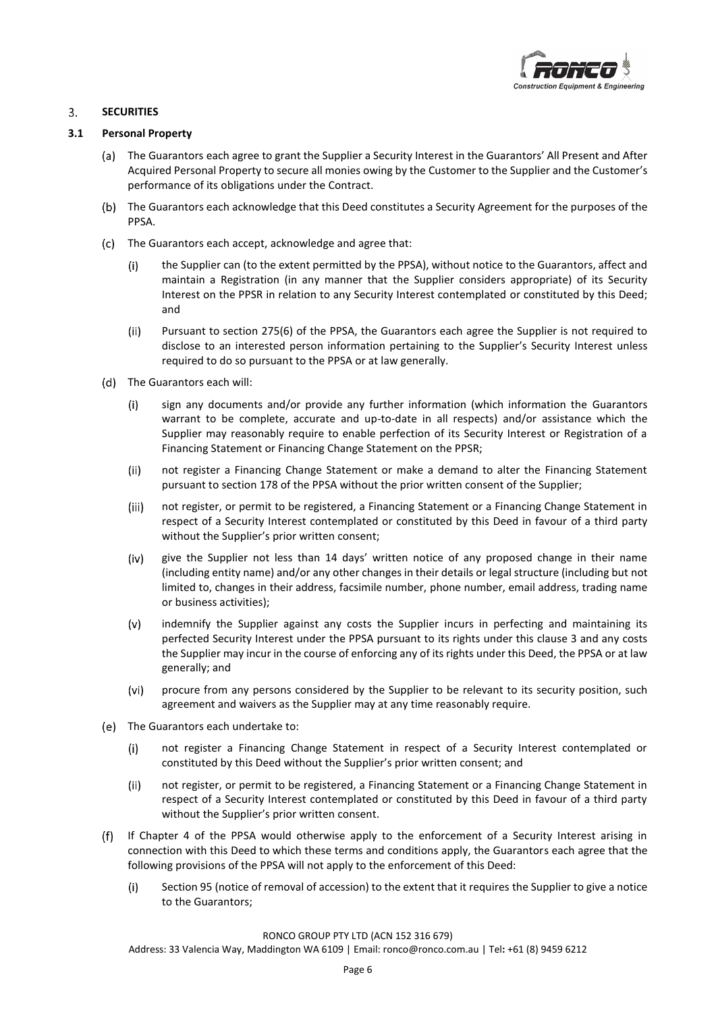

#### $3.$ **SECURITIES**

### **3.1 Personal Property**

- The Guarantors each agree to grant the Supplier a Security Interest in the Guarantors' All Present and After Acquired Personal Property to secure all monies owing by the Customer to the Supplier and the Customer's performance of its obligations under the Contract.
- (b) The Guarantors each acknowledge that this Deed constitutes a Security Agreement for the purposes of the PPSA.
- (c) The Guarantors each accept, acknowledge and agree that:
	- $(i)$ the Supplier can (to the extent permitted by the PPSA), without notice to the Guarantors, affect and maintain a Registration (in any manner that the Supplier considers appropriate) of its Security Interest on the PPSR in relation to any Security Interest contemplated or constituted by this Deed; and
	- $(ii)$ Pursuant to section 275(6) of the PPSA, the Guarantors each agree the Supplier is not required to disclose to an interested person information pertaining to the Supplier's Security Interest unless required to do so pursuant to the PPSA or at law generally.
- (d) The Guarantors each will:
	- $(i)$ sign any documents and/or provide any further information (which information the Guarantors warrant to be complete, accurate and up-to-date in all respects) and/or assistance which the Supplier may reasonably require to enable perfection of its Security Interest or Registration of a Financing Statement or Financing Change Statement on the PPSR;
	- $(ii)$ not register a Financing Change Statement or make a demand to alter the Financing Statement pursuant to section 178 of the PPSA without the prior written consent of the Supplier;
	- $(iii)$ not register, or permit to be registered, a Financing Statement or a Financing Change Statement in respect of a Security Interest contemplated or constituted by this Deed in favour of a third party without the Supplier's prior written consent;
	- $(iv)$ give the Supplier not less than 14 days' written notice of any proposed change in their name (including entity name) and/or any other changes in their details or legal structure (including but not limited to, changes in their address, facsimile number, phone number, email address, trading name or business activities);
	- $(v)$ indemnify the Supplier against any costs the Supplier incurs in perfecting and maintaining its perfected Security Interest under the PPSA pursuant to its rights under this clause 3 and any costs the Supplier may incur in the course of enforcing any of its rights under this Deed, the PPSA or at law generally; and
	- $(vi)$ procure from any persons considered by the Supplier to be relevant to its security position, such agreement and waivers as the Supplier may at any time reasonably require.
- The Guarantors each undertake to:
	- $(i)$ not register a Financing Change Statement in respect of a Security Interest contemplated or constituted by this Deed without the Supplier's prior written consent; and
	- $(ii)$ not register, or permit to be registered, a Financing Statement or a Financing Change Statement in respect of a Security Interest contemplated or constituted by this Deed in favour of a third party without the Supplier's prior written consent.
- If Chapter 4 of the PPSA would otherwise apply to the enforcement of a Security Interest arising in  $(f)$ connection with this Deed to which these terms and conditions apply, the Guarantors each agree that the following provisions of the PPSA will not apply to the enforcement of this Deed:
	- $(i)$ Section 95 (notice of removal of accession) to the extent that it requires the Supplier to give a notice to the Guarantors;

#### RONCO GROUP PTY LTD (ACN 152 316 679)

Address: 33 Valencia Way, Maddington WA 6109 | Email: ronco@ronco.com.au | Tel**:** +61 (8) 9459 6212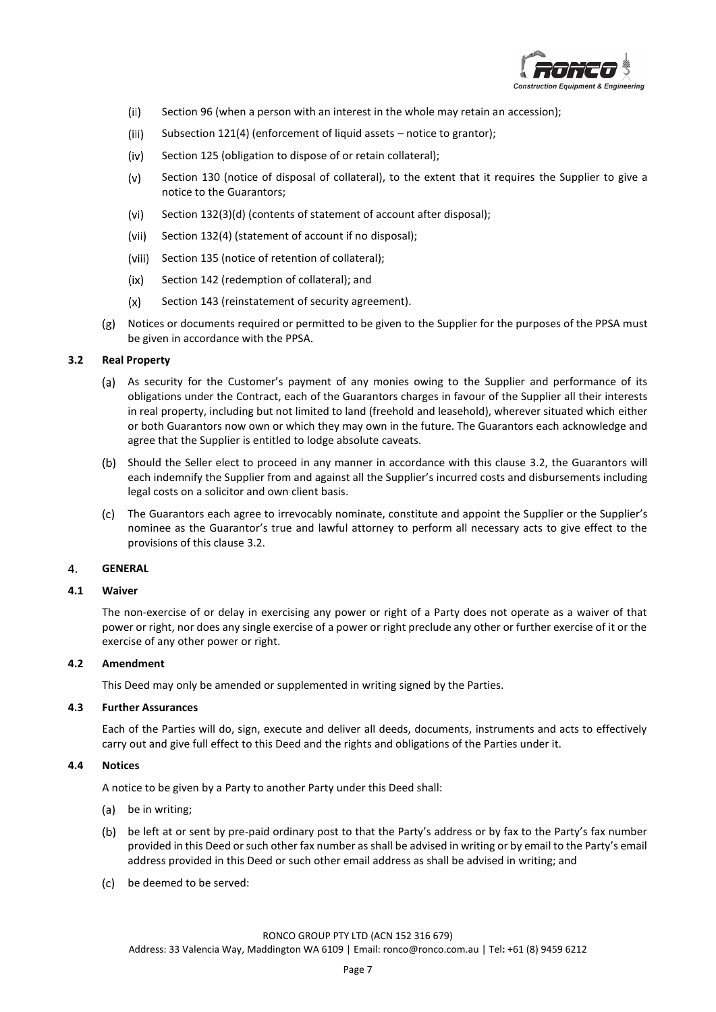

- $(ii)$ Section 96 (when a person with an interest in the whole may retain an accession);
- $(iii)$ Subsection 121(4) (enforcement of liquid assets – notice to grantor);
- Section 125 (obligation to dispose of or retain collateral);  $(iv)$
- $(v)$ Section 130 (notice of disposal of collateral), to the extent that it requires the Supplier to give a notice to the Guarantors;
- $(vi)$ Section 132(3)(d) (contents of statement of account after disposal);
- $(vii)$ Section 132(4) (statement of account if no disposal);
- (viii) Section 135 (notice of retention of collateral);
- $(ix)$ Section 142 (redemption of collateral); and
- $(x)$ Section 143 (reinstatement of security agreement).
- Notices or documents required or permitted to be given to the Supplier for the purposes of the PPSA must be given in accordance with the PPSA.

#### <span id="page-6-0"></span>**3.2 Real Property**

- As security for the Customer's payment of any monies owing to the Supplier and performance of its obligations under the Contract, each of the Guarantors charges in favour of the Supplier all their interests in real property, including but not limited to land (freehold and leasehold), wherever situated which either or both Guarantors now own or which they may own in the future. The Guarantors each acknowledge and agree that the Supplier is entitled to lodge absolute caveats.
- (b) Should the Seller elect to proceed in any manner in accordance with this clause [3.2,](#page-6-0) the Guarantors will each indemnify the Supplier from and against all the Supplier's incurred costs and disbursements including legal costs on a solicitor and own client basis.
- The Guarantors each agree to irrevocably nominate, constitute and appoint the Supplier or the Supplier's nominee as the Guarantor's true and lawful attorney to perform all necessary acts to give effect to the provisions of this claus[e 3.2.](#page-6-0)

#### **GENERAL** 4.

#### **4.1 Waiver**

The non-exercise of or delay in exercising any power or right of a Party does not operate as a waiver of that power or right, nor does any single exercise of a power or right preclude any other or further exercise of it or the exercise of any other power or right.

#### **4.2 Amendment**

This Deed may only be amended or supplemented in writing signed by the Parties.

### **4.3 Further Assurances**

Each of the Parties will do, sign, execute and deliver all deeds, documents, instruments and acts to effectively carry out and give full effect to this Deed and the rights and obligations of the Parties under it.

#### **4.4 Notices**

A notice to be given by a Party to another Party under this Deed shall:

- be in writing;
- be left at or sent by pre-paid ordinary post to that the Party's address or by fax to the Party's fax number provided in this Deed or such other fax number as shall be advised in writing or by email to the Party's email address provided in this Deed or such other email address as shall be advised in writing; and
- be deemed to be served: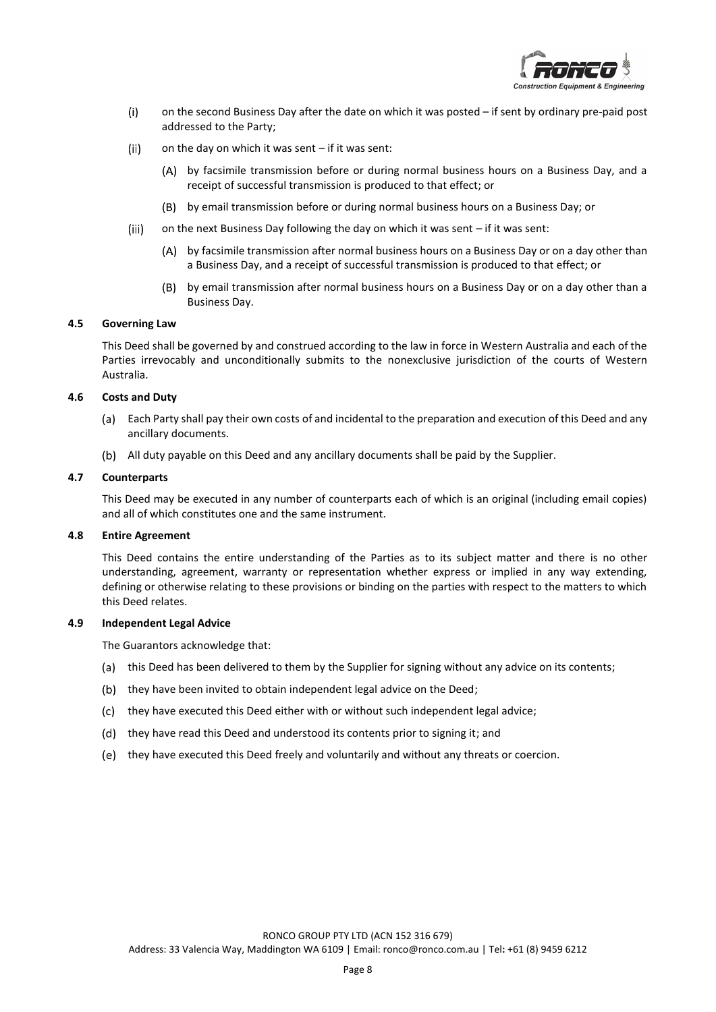

- $(i)$ on the second Business Day after the date on which it was posted – if sent by ordinary pre-paid post addressed to the Party;
- $(ii)$ on the day on which it was sent – if it was sent:
	- by facsimile transmission before or during normal business hours on a Business Day, and a receipt of successful transmission is produced to that effect; or
	- by email transmission before or during normal business hours on a Business Day; or
- $(iii)$ on the next Business Day following the day on which it was sent – if it was sent:
	- by facsimile transmission after normal business hours on a Business Day or on a day other than a Business Day, and a receipt of successful transmission is produced to that effect; or
	- by email transmission after normal business hours on a Business Day or on a day other than a Business Day.

### **4.5 Governing Law**

This Deed shall be governed by and construed according to the law in force in Western Australia and each of the Parties irrevocably and unconditionally submits to the nonexclusive jurisdiction of the courts of Western Australia.

#### **4.6 Costs and Duty**

- Each Party shall pay their own costs of and incidental to the preparation and execution of this Deed and any (a) ancillary documents.
- All duty payable on this Deed and any ancillary documents shall be paid by the Supplier.

#### **4.7 Counterparts**

This Deed may be executed in any number of counterparts each of which is an original (including email copies) and all of which constitutes one and the same instrument.

#### **4.8 Entire Agreement**

This Deed contains the entire understanding of the Parties as to its subject matter and there is no other understanding, agreement, warranty or representation whether express or implied in any way extending, defining or otherwise relating to these provisions or binding on the parties with respect to the matters to which this Deed relates.

#### **4.9 Independent Legal Advice**

The Guarantors acknowledge that:

- (a) this Deed has been delivered to them by the Supplier for signing without any advice on its contents;
- (b) they have been invited to obtain independent legal advice on the Deed;
- (c) they have executed this Deed either with or without such independent legal advice;
- (d) they have read this Deed and understood its contents prior to signing it; and
- (e) they have executed this Deed freely and voluntarily and without any threats or coercion.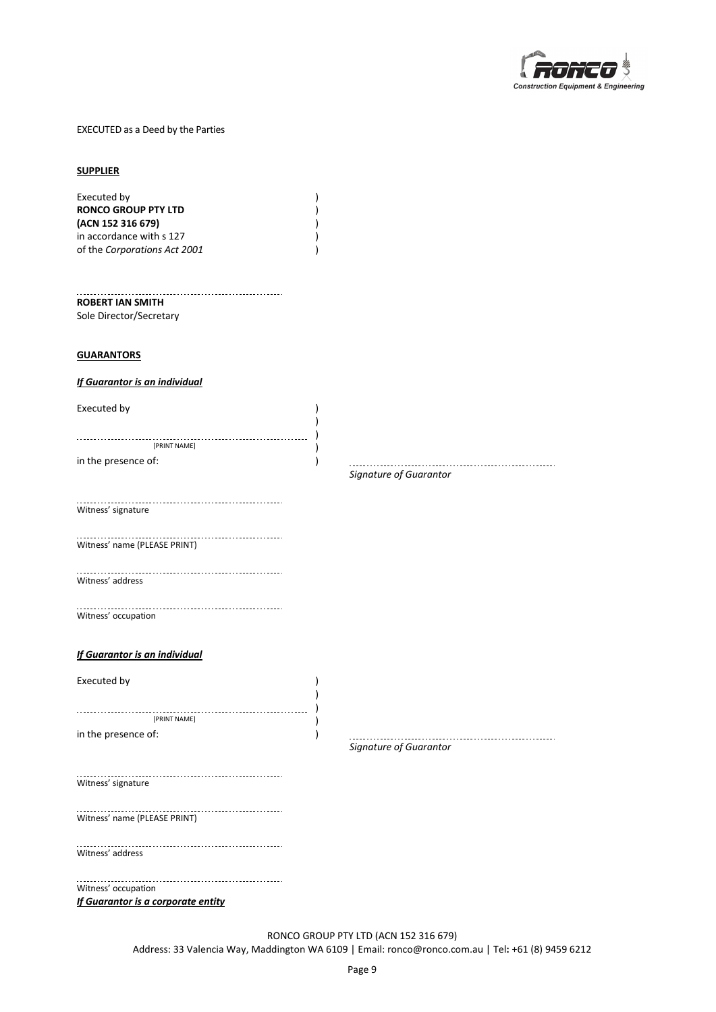

#### EXECUTED as a Deed by the Parties

#### **SUPPLIER**

| Executed by                  |  |
|------------------------------|--|
| <b>RONCO GROUP PTY LTD</b>   |  |
| (ACN 152 316 679)            |  |
| in accordance with s 127     |  |
| of the Corporations Act 2001 |  |
|                              |  |

#### **ROBERT IAN SMITH**

Sole Director/Secretary

#### **GUARANTORS**

#### *If Guarantor is an individual*

| Executed by         |  |
|---------------------|--|
|                     |  |
|                     |  |
| [PRINT NAME]        |  |
| in the presence of: |  |

# *Signature of Guarantor*

Witness' signature

Witness' name (PLEASE PRINT)

Witness' address

Witness' occupation

### *If Guarantor is an individual*

Executed by  $\qquad \qquad$  ) [PRINT NAME] ) in the presence of:  $\qquad \qquad$  )

*Signature of Guarantor*

Witness' signature

Witness' name (PLEASE PRINT)

Witness' address

------------------------------............... Witness' occupation *If Guarantor is a corporate entity*

> RONCO GROUP PTY LTD (ACN 152 316 679) Address: 33 Valencia Way, Maddington WA 6109 | Email: ronco@ronco.com.au | Tel**:** +61 (8) 9459 6212

) )